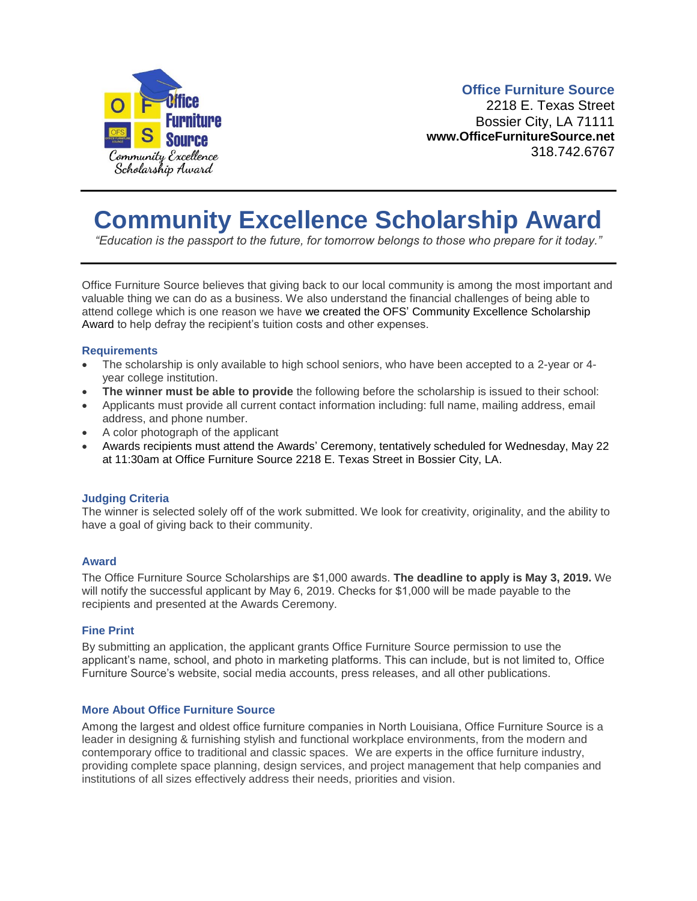

### **Office Furniture Source**

2218 E. Texas Street Bossier City, LA 71111 **www.OfficeFurnitureSource.net** 318.742.6767

## **Community Excellence Scholarship Award**

*"Education is the passport to the future, for tomorrow belongs to those who prepare for it today."*

Office Furniture Source believes that giving back to our local community is among the most important and valuable thing we can do as a business. We also understand the financial challenges of being able to attend college which is one reason we have we created the OFS' Community Excellence Scholarship Award to help defray the recipient's tuition costs and other expenses.

#### **Requirements**

- The scholarship is only available to high school seniors, who have been accepted to a 2-year or 4 year college institution.
- **The winner must be able to provide** the following before the scholarship is issued to their school:
- Applicants must provide all current contact information including: full name, mailing address, email address, and phone number.
- A color photograph of the applicant
- Awards recipients must attend the Awards' Ceremony, tentatively scheduled for Wednesday, May 22 at 11:30am at Office Furniture Source 2218 E. Texas Street in Bossier City, LA.

### **Judging Criteria**

The winner is selected solely off of the work submitted. We look for creativity, originality, and the ability to have a goal of giving back to their community.

### **Award**

The Office Furniture Source Scholarships are \$1,000 awards. **The deadline to apply is May 3, 2019.** We will notify the successful applicant by May 6, 2019. Checks for \$1,000 will be made payable to the recipients and presented at the Awards Ceremony.

#### **Fine Print**

By submitting an application, the applicant grants Office Furniture Source permission to use the applicant's name, school, and photo in marketing platforms. This can include, but is not limited to, Office Furniture Source's website, social media accounts, press releases, and all other publications.

### **More About Office Furniture Source**

Among the largest and oldest office furniture companies in North Louisiana, Office Furniture Source is a leader in designing & furnishing stylish and functional workplace environments, from the modern and contemporary office to traditional and classic spaces. We are experts in the office furniture industry, providing complete space planning, design services, and project management that help companies and institutions of all sizes effectively address their needs, priorities and vision.